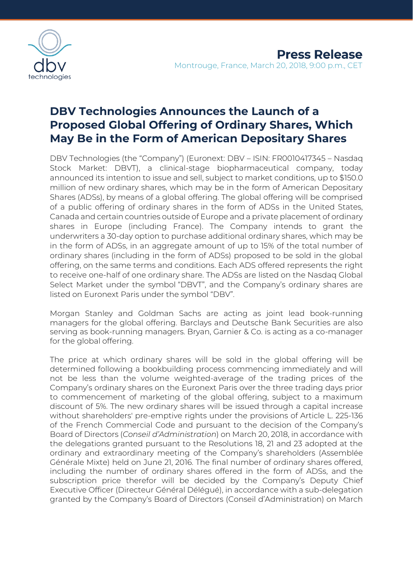

## **DBV Technologies Announces the Launch of a Proposed Global Offering of Ordinary Shares, Which May Be in the Form of American Depositary Shares**

DBV Technologies (the "Company") (Euronext: DBV – ISIN: FR0010417345 – Nasdaq Stock Market: DBVT), a clinical-stage biopharmaceutical company, today announced its intention to issue and sell, subject to market conditions, up to \$150.0 million of new ordinary shares, which may be in the form of American Depositary Shares (ADSs), by means of a global offering. The global offering will be comprised of a public offering of ordinary shares in the form of ADSs in the United States, Canada and certain countries outside of Europe and a private placement of ordinary shares in Europe (including France). The Company intends to grant the underwriters a 30-day option to purchase additional ordinary shares, which may be in the form of ADSs, in an aggregate amount of up to 15% of the total number of ordinary shares (including in the form of ADSs) proposed to be sold in the global offering, on the same terms and conditions. Each ADS offered represents the right to receive one-half of one ordinary share. The ADSs are listed on the Nasdaq Global Select Market under the symbol "DBVT", and the Company's ordinary shares are listed on Euronext Paris under the symbol "DBV".

Morgan Stanley and Goldman Sachs are acting as joint lead book-running managers for the global offering. Barclays and Deutsche Bank Securities are also serving as book-running managers. Bryan, Garnier & Co. is acting as a co-manager for the global offering.

The price at which ordinary shares will be sold in the global offering will be determined following a bookbuilding process commencing immediately and will not be less than the volume weighted-average of the trading prices of the Company's ordinary shares on the Euronext Paris over the three trading days prior to commencement of marketing of the global offering, subject to a maximum discount of 5%. The new ordinary shares will be issued through a capital increase without shareholders' pre-emptive rights under the provisions of Article L. 225-136 of the French Commercial Code and pursuant to the decision of the Company's Board of Directors (*Conseil d'Administration*) on March 20, 2018, in accordance with the delegations granted pursuant to the Resolutions 18, 21 and 23 adopted at the ordinary and extraordinary meeting of the Company's shareholders (Assemblée Générale Mixte) held on June 21, 2016. The final number of ordinary shares offered, including the number of ordinary shares offered in the form of ADSs, and the subscription price therefor will be decided by the Company's Deputy Chief Executive Officer (Directeur Général Délégué), in accordance with a sub-delegation granted by the Company's Board of Directors (Conseil d'Administration) on March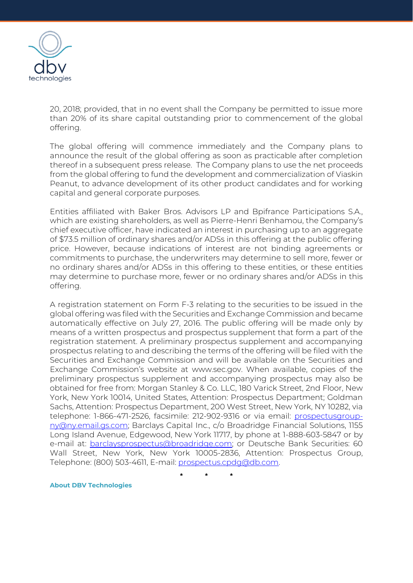

20, 2018; provided, that in no event shall the Company be permitted to issue more than 20% of its share capital outstanding prior to commencement of the global offering.

The global offering will commence immediately and the Company plans to announce the result of the global offering as soon as practicable after completion thereof in a subsequent press release. The Company plans to use the net proceeds from the global offering to fund the development and commercialization of Viaskin Peanut, to advance development of its other product candidates and for working capital and general corporate purposes.

Entities affiliated with Baker Bros. Advisors LP and Bpifrance Participations S.A., which are existing shareholders, as well as Pierre-Henri Benhamou, the Company's chief executive officer, have indicated an interest in purchasing up to an aggregate of \$73.5 million of ordinary shares and/or ADSs in this offering at the public offering price. However, because indications of interest are not binding agreements or commitments to purchase, the underwriters may determine to sell more, fewer or no ordinary shares and/or ADSs in this offering to these entities, or these entities may determine to purchase more, fewer or no ordinary shares and/or ADSs in this offering.

A registration statement on Form F-3 relating to the securities to be issued in the global offering was filed with the Securities and Exchange Commission and became automatically effective on July 27, 2016. The public offering will be made only by means of a written prospectus and prospectus supplement that form a part of the registration statement. A preliminary prospectus supplement and accompanying prospectus relating to and describing the terms of the offering will be filed with the Securities and Exchange Commission and will be available on the Securities and Exchange Commission's website at www.sec.gov. When available, copies of the preliminary prospectus supplement and accompanying prospectus may also be obtained for free from: Morgan Stanley & Co. LLC, 180 Varick Street, 2nd Floor, New York, New York 10014, United States, Attention: Prospectus Department; Goldman Sachs, Attention: Prospectus Department, 200 West Street, New York, NY 10282, via telephone: 1-866-471-2526, facsimile: 212-902-9316 or via email: [prospectusgroup](mailto:prospectusgroup-ny@ny.email.gs.com)[ny@ny.email.gs.com;](mailto:prospectusgroup-ny@ny.email.gs.com) Barclays Capital Inc., c/o Broadridge Financial Solutions, 1155 Long Island Avenue, Edgewood, New York 11717, by phone at 1-888-603-5847 or by e-mail at: **barclaysprospectus@broadridge.com**; or Deutsche Bank Securities: 60 Wall Street, New York, New York 10005-2836, Attention: Prospectus Group, Telephone: (800) 503-4611, E-mail: [prospectus.cpdg@db.com.](mailto:prospectus.cpdg@db.com)

**\* \* \***

**About DBV Technologies**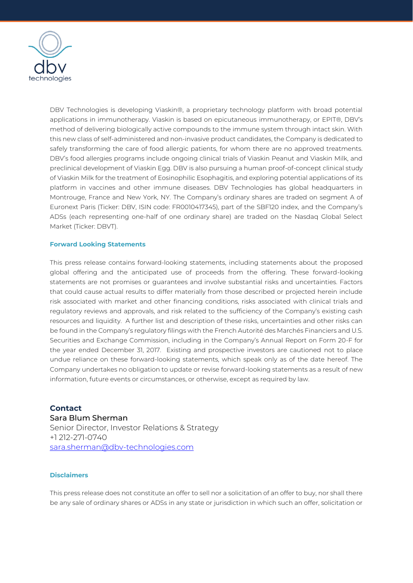

DBV Technologies is developing Viaskin®, a proprietary technology platform with broad potential applications in immunotherapy. Viaskin is based on epicutaneous immunotherapy, or EPIT®, DBV's method of delivering biologically active compounds to the immune system through intact skin. With this new class of self-administered and non-invasive product candidates, the Company is dedicated to safely transforming the care of food allergic patients, for whom there are no approved treatments. DBV's food allergies programs include ongoing clinical trials of Viaskin Peanut and Viaskin Milk, and preclinical development of Viaskin Egg. DBV is also pursuing a human proof-of-concept clinical study of Viaskin Milk for the treatment of Eosinophilic Esophagitis, and exploring potential applications of its platform in vaccines and other immune diseases. DBV Technologies has global headquarters in Montrouge, France and New York, NY. The Company's ordinary shares are traded on segment A of Euronext Paris (Ticker: DBV, ISIN code: FR0010417345), part of the SBF120 index, and the Company's ADSs (each representing one-half of one ordinary share) are traded on the Nasdaq Global Select Market (Ticker: DBVT).

## **Forward Looking Statements**

This press release contains forward-looking statements, including statements about the proposed global offering and the anticipated use of proceeds from the offering. These forward-looking statements are not promises or guarantees and involve substantial risks and uncertainties. Factors that could cause actual results to differ materially from those described or projected herein include risk associated with market and other financing conditions, risks associated with clinical trials and regulatory reviews and approvals, and risk related to the sufficiency of the Company's existing cash resources and liquidity. A further list and description of these risks, uncertainties and other risks can be found in the Company's regulatory filings with the French Autorité des Marchés Financiers and U.S. Securities and Exchange Commission, including in the Company's Annual Report on Form 20-F for the year ended December 31, 2017. Existing and prospective investors are cautioned not to place undue reliance on these forward-looking statements, which speak only as of the date hereof. The Company undertakes no obligation to update or revise forward-looking statements as a result of new information, future events or circumstances, or otherwise, except as required by law.

## **Contact**

Sara Blum Sherman Senior Director, Investor Relations & Strategy +1 212-271-0740 [sara.sherman@dbv-technologies.com](mailto:susanna.mesa@dbv-technologies.com)

## **Disclaimers**

This press release does not constitute an offer to sell nor a solicitation of an offer to buy, nor shall there be any sale of ordinary shares or ADSs in any state or jurisdiction in which such an offer, solicitation or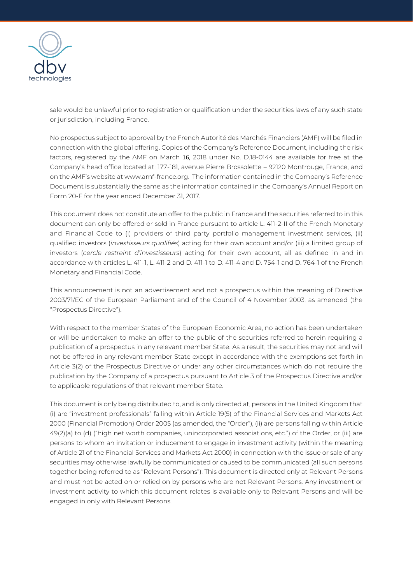

sale would be unlawful prior to registration or qualification under the securities laws of any such state or jurisdiction, including France.

No prospectus subject to approval by the French Autorité des Marchés Financiers (AMF) will be filed in connection with the global offering. Copies of the Company's Reference Document, including the risk factors, registered by the AMF on March 16, 2018 under No. D.18-0144 are available for free at the Company's head office located at: 177-181, avenue Pierre Brossolette – 92120 Montrouge, France, and on the AMF's website at www.amf-france.org. The information contained in the Company's Reference Document is substantially the same as the information contained in the Company's Annual Report on Form 20-F for the year ended December 31, 2017.

This document does not constitute an offer to the public in France and the securities referred to in this document can only be offered or sold in France pursuant to article L. 411-2-II of the French Monetary and Financial Code to (i) providers of third party portfolio management investment services, (ii) qualified investors (*investisseurs qualifiés*) acting for their own account and/or (iii) a limited group of investors (*cercle restreint d'investisseurs*) acting for their own account, all as defined in and in accordance with articles L. 411-1, L. 411-2 and D. 411-1 to D. 411-4 and D. 754-1 and D. 764-1 of the French Monetary and Financial Code.

This announcement is not an advertisement and not a prospectus within the meaning of Directive 2003/71/EC of the European Parliament and of the Council of 4 November 2003, as amended (the "Prospectus Directive").

With respect to the member States of the European Economic Area, no action has been undertaken or will be undertaken to make an offer to the public of the securities referred to herein requiring a publication of a prospectus in any relevant member State. As a result, the securities may not and will not be offered in any relevant member State except in accordance with the exemptions set forth in Article 3(2) of the Prospectus Directive or under any other circumstances which do not require the publication by the Company of a prospectus pursuant to Article 3 of the Prospectus Directive and/or to applicable regulations of that relevant member State.

This document is only being distributed to, and is only directed at, persons in the United Kingdom that (i) are "investment professionals" falling within Article 19(5) of the Financial Services and Markets Act 2000 (Financial Promotion) Order 2005 (as amended, the "Order"), (ii) are persons falling within Article 49(2)(a) to (d) ("high net worth companies, unincorporated associations, etc.") of the Order, or (iii) are persons to whom an invitation or inducement to engage in investment activity (within the meaning of Article 21 of the Financial Services and Markets Act 2000) in connection with the issue or sale of any securities may otherwise lawfully be communicated or caused to be communicated (all such persons together being referred to as "Relevant Persons"). This document is directed only at Relevant Persons and must not be acted on or relied on by persons who are not Relevant Persons. Any investment or investment activity to which this document relates is available only to Relevant Persons and will be engaged in only with Relevant Persons.